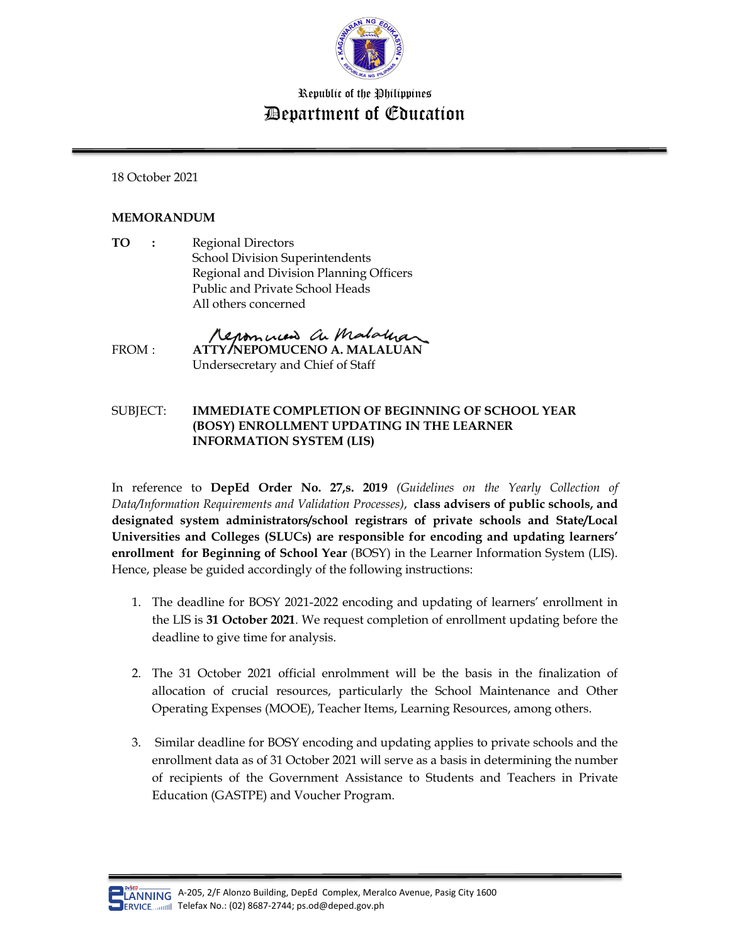

## Republic of the Philippines Department of Education

18 October 2021

## **MEMORANDUM**

**TO :** Regional Directors School Division Superintendents Regional and Division Planning Officers Public and Private School Heads All others concerned

Renominent an Mataluar FROM : **ATTY/NEPOMUCENO A. MALALUAN** Undersecretary and Chief of Staff

## SUBJECT: **IMMEDIATE COMPLETION OF BEGINNING OF SCHOOL YEAR (BOSY) ENROLLMENT UPDATING IN THE LEARNER INFORMATION SYSTEM (LIS)**

In reference to **DepEd Order No. 27,s. 2019** *(Guidelines on the Yearly Collection of Data/Information Requirements and Validation Processes)*, **class advisers of public schools, and designated system administrators/school registrars of private schools and State/Local Universities and Colleges (SLUCs) are responsible for encoding and updating learners' enrollment for Beginning of School Year** (BOSY) in the Learner Information System (LIS). Hence, please be guided accordingly of the following instructions:

- 1. The deadline for BOSY 2021-2022 encoding and updating of learners' enrollment in the LIS is **31 October 2021**. We request completion of enrollment updating before the deadline to give time for analysis.
- 2. The 31 October 2021 official enrolmment will be the basis in the finalization of allocation of crucial resources, particularly the School Maintenance and Other Operating Expenses (MOOE), Teacher Items, Learning Resources, among others.
- 3. Similar deadline for BOSY encoding and updating applies to private schools and the enrollment data as of 31 October 2021 will serve as a basis in determining the number of recipients of the Government Assistance to Students and Teachers in Private Education (GASTPE) and Voucher Program.